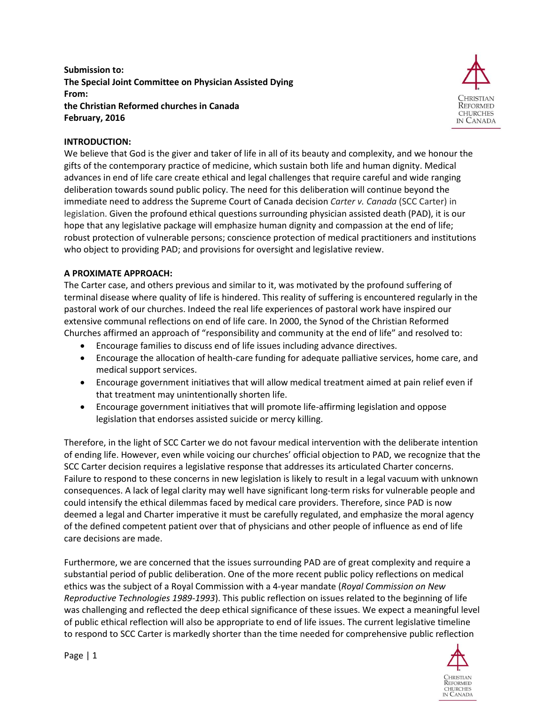**Submission to: The Special Joint Committee on Physician Assisted Dying From: the Christian Reformed churches in Canada February, 2016**



#### **INTRODUCTION:**

We believe that God is the giver and taker of life in all of its beauty and complexity, and we honour the gifts of the contemporary practice of medicine, which sustain both life and human dignity. Medical advances in end of life care create ethical and legal challenges that require careful and wide ranging deliberation towards sound public policy. The need for this deliberation will continue beyond the immediate need to address the Supreme Court of Canada decision *Carter v. Canada* (SCC Carter) in legislation. Given the profound ethical questions surrounding physician assisted death (PAD), it is our hope that any legislative package will emphasize human dignity and compassion at the end of life; robust protection of vulnerable persons; conscience protection of medical practitioners and institutions who object to providing PAD; and provisions for oversight and legislative review.

#### **A PROXIMATE APPROACH:**

The Carter case, and others previous and similar to it, was motivated by the profound suffering of terminal disease where quality of life is hindered. This reality of suffering is encountered regularly in the pastoral work of our churches. Indeed the real life experiences of pastoral work have inspired our extensive communal reflections on end of life care. In 2000, the Synod of the Christian Reformed Churches affirmed an approach of "responsibility and community at the end of life" and resolved to:

- Encourage families to discuss end of life issues including advance directives.
- Encourage the allocation of health-care funding for adequate palliative services, home care, and medical support services.
- Encourage government initiatives that will allow medical treatment aimed at pain relief even if that treatment may unintentionally shorten life.
- Encourage government initiatives that will promote life-affirming legislation and oppose legislation that endorses assisted suicide or mercy killing.

Therefore, in the light of SCC Carter we do not favour medical intervention with the deliberate intention of ending life. However, even while voicing our churches' official objection to PAD, we recognize that the SCC Carter decision requires a legislative response that addresses its articulated Charter concerns. Failure to respond to these concerns in new legislation is likely to result in a legal vacuum with unknown consequences. A lack of legal clarity may well have significant long-term risks for vulnerable people and could intensify the ethical dilemmas faced by medical care providers. Therefore, since PAD is now deemed a legal and Charter imperative it must be carefully regulated, and emphasize the moral agency of the defined competent patient over that of physicians and other people of influence as end of life care decisions are made.

Furthermore, we are concerned that the issues surrounding PAD are of great complexity and require a substantial period of public deliberation. One of the more recent public policy reflections on medical ethics was the subject of a Royal Commission with a 4-year mandate (*Royal Commission on New Reproductive Technologies 1989-1993*). This public reflection on issues related to the beginning of life was challenging and reflected the deep ethical significance of these issues. We expect a meaningful level of public ethical reflection will also be appropriate to end of life issues. The current legislative timeline to respond to SCC Carter is markedly shorter than the time needed for comprehensive public reflection



Page | 1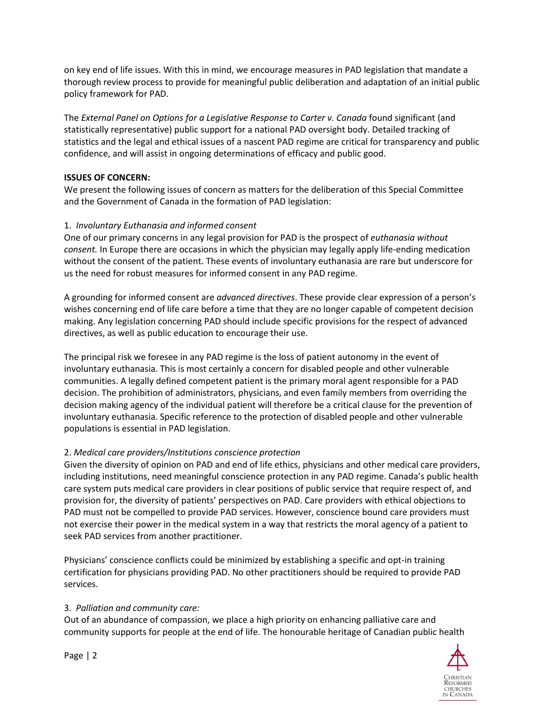on key end of life issues. With this in mind, we encourage measures in PAD legislation that mandate a thorough review process to provide for meaningful public deliberation and adaptation of an initial public policy framework for PAD.

The *External Panel on Options for a Legislative Response to Carter v. Canada* found significant (and statistically representative) public support for a national PAD oversight body. Detailed tracking of statistics and the legal and ethical issues of a nascent PAD regime are critical for transparency and public confidence, and will assist in ongoing determinations of efficacy and public good.

# **ISSUES OF CONCERN:**

We present the following issues of concern as matters for the deliberation of this Special Committee and the Government of Canada in the formation of PAD legislation:

# 1. *Involuntary Euthanasia and informed consent*

One of our primary concerns in any legal provision for PAD is the prospect of *euthanasia without consent.* In Europe there are occasions in which the physician may legally apply life-ending medication without the consent of the patient. These events of involuntary euthanasia are rare but underscore for us the need for robust measures for informed consent in any PAD regime.

A grounding for informed consent are *advanced directives*. These provide clear expression of a person's wishes concerning end of life care before a time that they are no longer capable of competent decision making. Any legislation concerning PAD should include specific provisions for the respect of advanced directives, as well as public education to encourage their use.

The principal risk we foresee in any PAD regime is the loss of patient autonomy in the event of involuntary euthanasia. This is most certainly a concern for disabled people and other vulnerable communities. A legally defined competent patient is the primary moral agent responsible for a PAD decision. The prohibition of administrators, physicians, and even family members from overriding the decision making agency of the individual patient will therefore be a critical clause for the prevention of involuntary euthanasia. Specific reference to the protection of disabled people and other vulnerable populations is essential in PAD legislation.

# 2. *Medical care providers/Institutions conscience protection*

Given the diversity of opinion on PAD and end of life ethics, physicians and other medical care providers, including institutions, need meaningful conscience protection in any PAD regime. Canada's public health care system puts medical care providers in clear positions of public service that require respect of, and provision for, the diversity of patients' perspectives on PAD. Care providers with ethical objections to PAD must not be compelled to provide PAD services. However, conscience bound care providers must not exercise their power in the medical system in a way that restricts the moral agency of a patient to seek PAD services from another practitioner.

Physicians' conscience conflicts could be minimized by establishing a specific and opt-in training certification for physicians providing PAD. No other practitioners should be required to provide PAD services.

### 3. *Palliation and community care:*

Out of an abundance of compassion, we place a high priority on enhancing palliative care and community supports for people at the end of life. The honourable heritage of Canadian public health

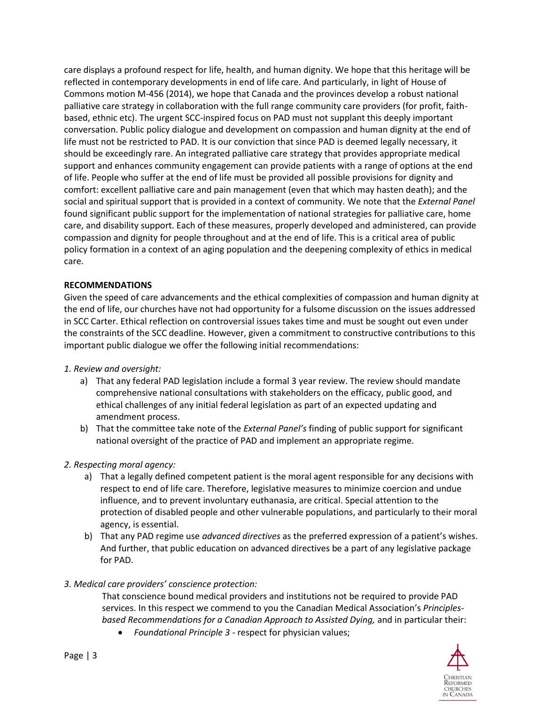care displays a profound respect for life, health, and human dignity. We hope that this heritage will be reflected in contemporary developments in end of life care. And particularly, in light of House of Commons motion M-456 (2014), we hope that Canada and the provinces develop a robust national palliative care strategy in collaboration with the full range community care providers (for profit, faithbased, ethnic etc). The urgent SCC-inspired focus on PAD must not supplant this deeply important conversation. Public policy dialogue and development on compassion and human dignity at the end of life must not be restricted to PAD. It is our conviction that since PAD is deemed legally necessary, it should be exceedingly rare. An integrated palliative care strategy that provides appropriate medical support and enhances community engagement can provide patients with a range of options at the end of life. People who suffer at the end of life must be provided all possible provisions for dignity and comfort: excellent palliative care and pain management (even that which may hasten death); and the social and spiritual support that is provided in a context of community. We note that the *External Panel* found significant public support for the implementation of national strategies for palliative care, home care, and disability support. Each of these measures, properly developed and administered, can provide compassion and dignity for people throughout and at the end of life. This is a critical area of public policy formation in a context of an aging population and the deepening complexity of ethics in medical care.

### **RECOMMENDATIONS**

Given the speed of care advancements and the ethical complexities of compassion and human dignity at the end of life, our churches have not had opportunity for a fulsome discussion on the issues addressed in SCC Carter. Ethical reflection on controversial issues takes time and must be sought out even under the constraints of the SCC deadline. However, given a commitment to constructive contributions to this important public dialogue we offer the following initial recommendations:

### *1. Review and oversight:*

- a) That any federal PAD legislation include a formal 3 year review. The review should mandate comprehensive national consultations with stakeholders on the efficacy, public good, and ethical challenges of any initial federal legislation as part of an expected updating and amendment process.
- b) That the committee take note of the *External Panel's* finding of public support for significant national oversight of the practice of PAD and implement an appropriate regime.

# *2. Respecting moral agency:*

- a) That a legally defined competent patient is the moral agent responsible for any decisions with respect to end of life care. Therefore, legislative measures to minimize coercion and undue influence, and to prevent involuntary euthanasia, are critical. Special attention to the protection of disabled people and other vulnerable populations, and particularly to their moral agency, is essential.
- b) That any PAD regime use *advanced directives* as the preferred expression of a patient's wishes. And further, that public education on advanced directives be a part of any legislative package for PAD.

### *3. Medical care providers' conscience protection:*

That conscience bound medical providers and institutions not be required to provide PAD services. In this respect we commend to you the Canadian Medical Association's *Principlesbased Recommendations for a Canadian Approach to Assisted Dying,* and in particular their:

*Foundational Principle 3* - respect for physician values;